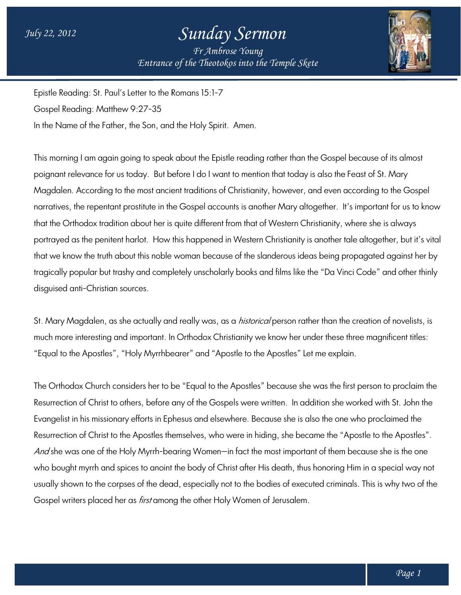## *Sunday Sermon*

*Entrance of the Theotokos Entrance of into the Temple Skete Fr Ambrose Young*



Epistle Reading: St. Paul's Letter to the Romans 15:1 Epistle 15:1-7

Gospel Reading: Matthew 9:27-35

In the Name of the Father, the Son, and the Holy Spirit. Amen.

This morning I am again going to speak about the Epistle reading rather than the Gospel because of its almost poignant relevance for us today. But before I do I want to mention that today is also the Feast of St. Mary Magdalen. According to the most ancient traditions of Christianity, however, and even according to the Gospel Magdalen. According to the most ancient traditions of Christianity, however, and even according to the Gospel<br>narratives, the repentant prostitute in the Gospel accounts is another Mary altogether. It's important for us to that the Orthodox tradition about her is quite different from that of Western Christianity, where she is always portrayed as the penitent harlot. How this happened in Western Christianity is another tale altogether, but it's vital that we know the truth about this noble woman because of the slanderous ideas being propagated against her by tragically popular but trashy and completely unscholarly books and films like the "Da Vinci Code" and other thinly disguised anti-Christian sources. adition about her is quite different from that of Western Christianity, where she is always<br>nitent harlot. How this happened in Western Christianity is another tale altogether, but it's vita<br>uth about this noble woman beca

St. Mary Magdalen, as she actually and really was, as a *historical* person rather than the creation of novelists, is much more interesting and important. In Orthodox Christianity we know her under these three magnificent titles:<br>"Equal to the Apostles", "Holy Myrrhbearer" and "Apostle to the Apostles" Let me explain. "Equal to the Apostles", "Holy Myrrhbearer" and "Apostle to the Apostles" Let me explain. was, as a *historical* person rather than the creation of novelists, is<br>dox Christianity we know her under these three magnificent titles:<br>nd "Apostle to the Apostles" Let me explain.<br>al to the Apostles" because she was th

The Orthodox Church considers her to be "Equal to the Apostles" because she was the first person to proclaim the Resurrection of Christ to others, before any of the Gospels were written. In addition she worke Evangelist in his missionary efforts in Ephesus and elsewhere. Because she is also the one who proclaimed the Resurrection of Christ to the Apostles themselves, who were in hiding, she became the "Apostle to the Apostles". Evangelist in his missionary efforts in Ephesus and elsewhere. Because she is also the one who proclaimed the<br>Resurrection of Christ to the Apostles themselves, who were in hiding, she became the "Apostle to the Apostles"<br> who bought myrrh and spices to anoint the body of Christ after His death, thus honoring Him in a special way not *And* she was one of the Holy Myrrh-bearing Women—in fact the most important of them because she is the one<br>who bought myrrh and spices to anoint the body of Christ after His death, thus honoring Him in a special way not<br>u Gospel writers placed her as *first* among the other Holy Women of Jerusalem.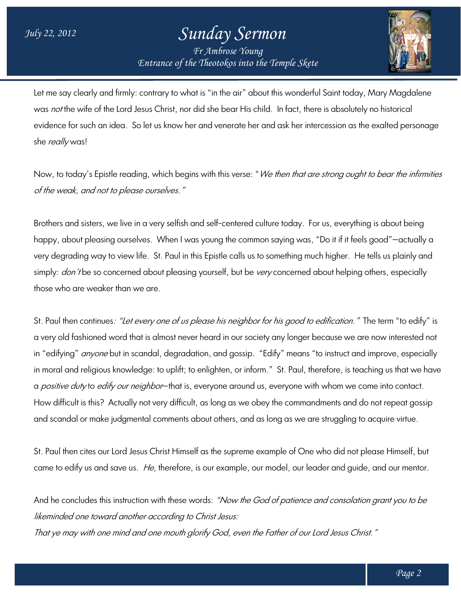## *Entrance of the Theotokos Entrance of into the Temple Skete Sunday Sermon Fr Ambrose Young*



Let me say clearly and firmly: contrary to what is "in the air" about this wonderful Saint today, Mary Magdalene was *not* the wite of the Lord Jesus Christ, nor did she bear His child. In fact, there is absolutely no historical evidence for such an idea. So let us know her and venerate her and ask her intercession as the exalted personage she really was! evidence for such an idea. So let us know her and venerate her and ask her intercession as the exalted personage<br>she *really* was!<br>Now, to today's Epistle reading, which begins with this verse: "*We then that are strong ou* 

of the weak, and not to please ourselves."

Brothers and sisters, we live in a very selfish and self-centered culture today. For us, everything is about being happy, about pleasing ourselves. When I was young the common saying was, "Do it it it feels good"—actually a happy, about pleasing ourselves. When I was young the common saying was, "Do it it it feels good"—actually a<br>very degrading way to view life. St. Paul in this Epistle calls us to something much higher. He tells us plainly simply: *don't* be so concerned about pleasing yourself, but be *very* concerned about helping others, especially those who are weaker than we are. simply: *don't* be so concerned about pleasing yourself, but be *very* concerned about helping others, especially<br>those who are weaker than we are.<br>St. Paul then continues*: "Let every one of us please his neighbor for his* 

a very old fashioned word that is almost never heard in our society any longer because we are now interested not a very old fashioned word that is almost never heard in our society any longer because we are now interested not<br>in "edifying" *anyone* but in scandal, degradation, and gossip. "Edify" means "to instruct and improve, espec in moral and religious knowledge: to uplitt; to enlighten, or intorm."St. Paul, therefore, is teaching us that we have a *positive duty* to *edify our neighbor*—that is, everyone around us, everyone with whom we come into contact. How difficult is this? Actually not very difficult, as long as we obey the commandments and do not repeat gossip and scandal or make judgmental comments about others, and as long as we are struggling to acquire virtue. How difficult is this? Actually not very difficult, as long as we obey the commandments and do not repeat gossip<br>and scandal or make judgmental comments about others, and as long as we are struggling to acquire virtue.<br>St. to instruct and improve, especia<br>erefore, is teaching us that we h<br>h whom we come into contact.

came to edify us and save us. *He*, therefore, is our example, our model, our leader and guide, and our mentor.

And he concludes this instruction with these words: *"Now the God of patience and consolation grant you to be* likeminded one toward another according to Christ Jesus:

likeminded one toward another according to Christ Jesus:<br>That ye may with one mind and one mouth glorify God, even the Father of our Lord Jesus Christ."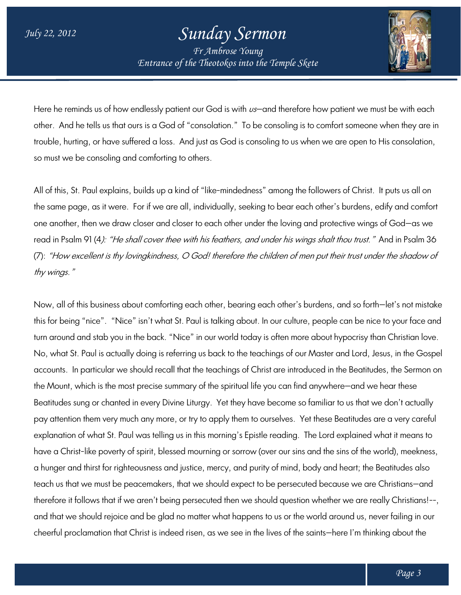## *Sunday Sermon*

*Entrance of the Theotokos Entrance of into the Temple Skete Fr Ambrose Young*



Here he reminds us of how endlessly patient our God is with  $\iota$ s—and therefore how patient we must be with each other. And he tells us that ours is a God of "consolation." To be consoling is to comfort someone when they are in trouble, hurting, or have suffered a loss. And just as God is consoling to us when we are open to His consolation, so must we be consoling and comforting to others.

All of this, St. Paul explains, builds up a kind of "like-mindedness" among the followers of Christ. It puts us all on the same page, as it were. For if we are all, individually, seeking to bear each other's burdens, edify and comfort one another, then we draw closer and closer to each other under the loving and protective wings of God—as we read in Psalm 91 (4*): "He shall cover thee with his feathers, and under his wings shalt thou trust."* And in Psalm 36 read in Psalm 91 (4*): "He shall cover thee with his feathers, and under his wings shalt thou trust."* And in Psalm 36<br>(7): *"How excellent is thy lovingkindness, O God! therefore the children of men put their trust under* thy wings."

Now, all of this business about comforting each other, bearing each other's burdens, and so forth—let's not mistake this for being "nice". "Nice" isn't what St. Paul is talking about. In our culture, people can be nice to your face and turn around and stab you in the back. "Nice" in our world today is often more about hypocrisy than Christian love. No, what St. Paul is actually doing is referring us back to the teachings of our Master and Lord, Jesus, in the Gospel accounts. In particular we should recall that the teachings of Christ are introduced in the Beatitudes, the Sermon on the Mount, which is the most precise summary of the spiritual life you can find anywhere—and we hear these . Beatitudes sung or chanted in every Divine Liturgy. Yet they have become so familiar to us that we don't actually pay attention them very much any more, or try to apply them to ourselves. Yet these Beatitudes are a very careful explanation of what St. Paul was telling us in this morning's Epistle reading. The Lord explained what it means to Beatitudes sung or chanted in every Divine Liturgy. Yet they have become so familiar to us that we don't actually<br>pay attention them very much any more, or try to apply them to ourselves. Yet these Beatitudes are a very ca a hunger and thirst for righteousness and justice, mercy, and purity of mind, body and heart; the Beatitudes also teach us that we must be peacemakers, that we should expect to be persecuted because we are Christians Christians—and therefore it follows that if we aren't being persecuted then we should question whether we are really Christians! Christians!--, and that we should rejoice and be glad no matter what happens to us or the world around us, never failing in our cheerful proclamation that Christ is indeed risen, as we see in the lives of the saints—here I'm thinking w, all of this business about comforting each other, bearing each other's burdens, and so forth-le<br>for being "nice". "Nice" isn't what St. Paul is talking about. In our culture, people can be nice to<br>around and stab you in have a Christ-like poverty of spirit, blessed mourning or sorrow (over our sins and the sins of the world), meekne<br>a hunger and thirst for righteousness and justice, mercy, and purity of mind, body and heart; the Beatitude